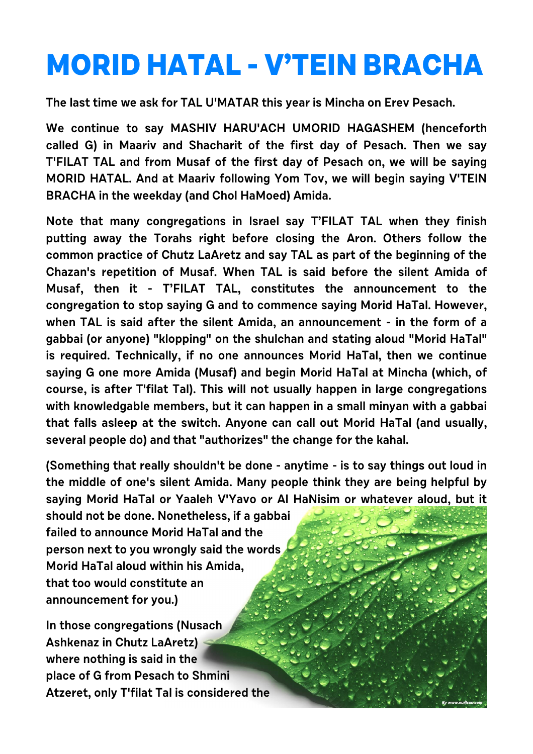## **MORID HATAL - V'TEIN BRACHA**

**The last time we ask for TAL U'MATAR this year is Mincha on Erev Pesach.**

**We continue to say MASHIV HARU'ACH UMORID HAGASHEM (henceforth called G) in Maariv and Shacharit of the first day of Pesach. Then we say T'FILAT TAL and from Musaf of the first day of Pesach on, we will be saying MORID HATAL. And at Maariv following Yom Tov, we will begin saying V'TEIN BRACHA in the weekday (and Chol HaMoed) Amida.**

**Note that many congregations in Israel say T'FILAT TAL when they finish putting away the Torahs right before closing the Aron. Others follow the common practice of Chutz LaAretz and say TAL as part of the beginning of the Chazan's repetition of Musaf. When TAL is said before the silent Amida of Musaf, then it - T'FILAT TAL, constitutes the announcement to the congregation to stop saying G and to commence saying Morid HaTal. However, when TAL is said after the silent Amida, an announcement - in the form of a gabbai (or anyone) "klopping" on the shulchan and stating aloud "Morid HaTal" is required. Technically, if no one announces Morid HaTal, then we continue saying G one more Amida (Musaf) and begin Morid HaTal at Mincha (which, of course, is after T'filat Tal). This will not usually happen in large congregations with knowledgable members, but it can happen in a small minyan with a gabbai that falls asleep at the switch. Anyone can call out Morid HaTal (and usually, several people do) and that "authorizes" the change for the kahal.**

**(Something that really shouldn't be done - anytime - is to say things out loud in the middle of one's silent Amida. Many people think they are being helpful by saying Morid HaTal or Yaaleh V'Yavo or Al HaNisim or whatever aloud, but it should not be done. Nonetheless, if a gabbai failed to announce Morid HaTal and the person next to you wrongly said the words Morid HaTal aloud within his Amida, that too would constitute an announcement for you.)**

**In those congregations (Nusach Ashkenaz in Chutz LaAretz) where nothing is said in the place of G from Pesach to Shmini Atzeret, only T'filat Tal is considered the**